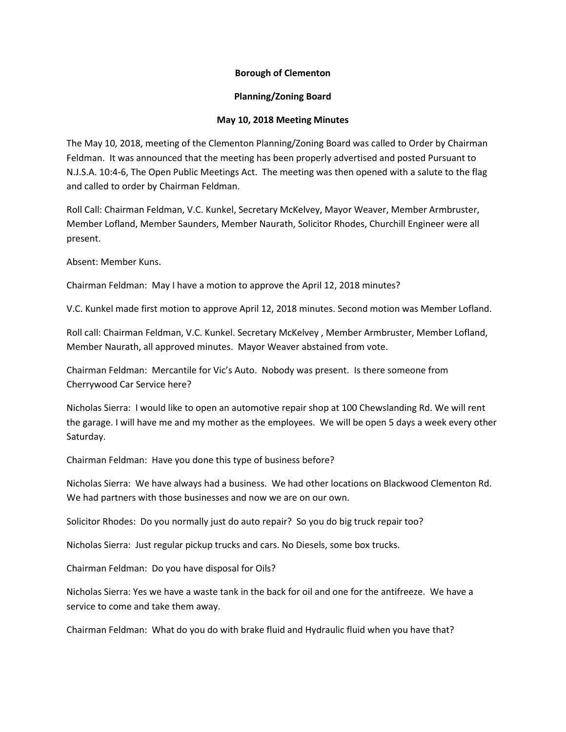## **Borough of Clementon**

## **Planning/Zoning Board**

## **May 10, 2018 Meeting Minutes**

The May 10, 2018, meeting of the Clementon Planning/Zoning Board was called to Order by Chairman Feldman. It was announced that the meeting has been properly advertised and posted Pursuant to N.J.S.A. 10:4-6, The Open Public Meetings Act. The meeting was then opened with a salute to the flag and called to order by Chairman Feldman.

Roll Call: Chairman Feldman, V.C. Kunkel, Secretary McKelvey, Mayor Weaver, Member Armbruster, Member Lofland, Member Saunders, Member Naurath, Solicitor Rhodes, Churchill Engineer were all present.

Absent: Member Kuns.

Chairman Feldman: May I have a motion to approve the April 12, 2018 minutes?

V.C. Kunkel made first motion to approve April 12, 2018 minutes. Second motion was Member Lofland.

Roll call: Chairman Feldman, V.C. Kunkel. Secretary McKelvey , Member Armbruster, Member Lofland, Member Naurath, all approved minutes. Mayor Weaver abstained from vote.

Chairman Feldman: Mercantile for Vic's Auto. Nobody was present. Is there someone from Cherrywood Car Service here?

Nicholas Sierra: I would like to open an automotive repair shop at 100 Chewslanding Rd. We will rent the garage. I will have me and my mother as the employees. We will be open 5 days a week every other Saturday.

Chairman Feldman: Have you done this type of business before?

Nicholas Sierra: We have always had a business. We had other locations on Blackwood Clementon Rd. We had partners with those businesses and now we are on our own.

Solicitor Rhodes: Do you normally just do auto repair? So you do big truck repair too?

Nicholas Sierra: Just regular pickup trucks and cars. No Diesels, some box trucks.

Chairman Feldman: Do you have disposal for Oils?

Nicholas Sierra: Yes we have a waste tank in the back for oil and one for the antifreeze. We have a service to come and take them away.

Chairman Feldman: What do you do with brake fluid and Hydraulic fluid when you have that?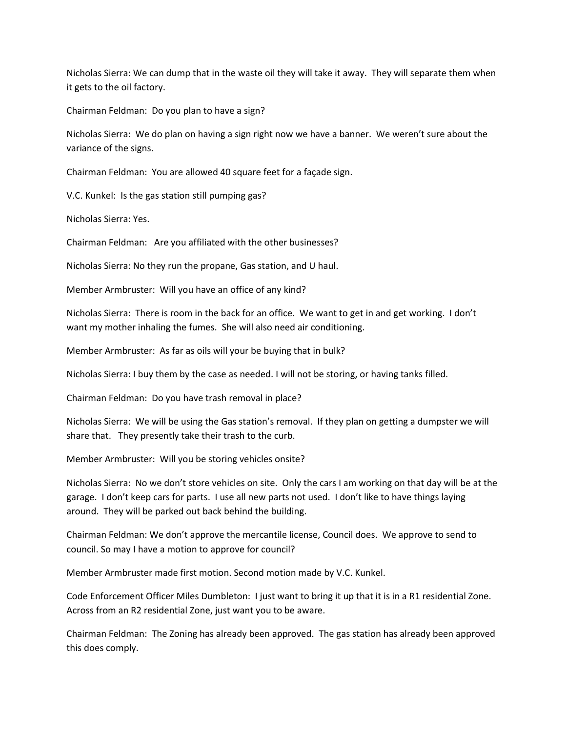Nicholas Sierra: We can dump that in the waste oil they will take it away. They will separate them when it gets to the oil factory.

Chairman Feldman: Do you plan to have a sign?

Nicholas Sierra: We do plan on having a sign right now we have a banner. We weren't sure about the variance of the signs.

Chairman Feldman: You are allowed 40 square feet for a façade sign.

V.C. Kunkel: Is the gas station still pumping gas?

Nicholas Sierra: Yes.

Chairman Feldman: Are you affiliated with the other businesses?

Nicholas Sierra: No they run the propane, Gas station, and U haul.

Member Armbruster: Will you have an office of any kind?

Nicholas Sierra: There is room in the back for an office. We want to get in and get working. I don't want my mother inhaling the fumes. She will also need air conditioning.

Member Armbruster: As far as oils will your be buying that in bulk?

Nicholas Sierra: I buy them by the case as needed. I will not be storing, or having tanks filled.

Chairman Feldman: Do you have trash removal in place?

Nicholas Sierra: We will be using the Gas station's removal. If they plan on getting a dumpster we will share that. They presently take their trash to the curb.

Member Armbruster: Will you be storing vehicles onsite?

Nicholas Sierra: No we don't store vehicles on site. Only the cars I am working on that day will be at the garage. I don't keep cars for parts. I use all new parts not used. I don't like to have things laying around. They will be parked out back behind the building.

Chairman Feldman: We don't approve the mercantile license, Council does. We approve to send to council. So may I have a motion to approve for council?

Member Armbruster made first motion. Second motion made by V.C. Kunkel.

Code Enforcement Officer Miles Dumbleton: I just want to bring it up that it is in a R1 residential Zone. Across from an R2 residential Zone, just want you to be aware.

Chairman Feldman: The Zoning has already been approved. The gas station has already been approved this does comply.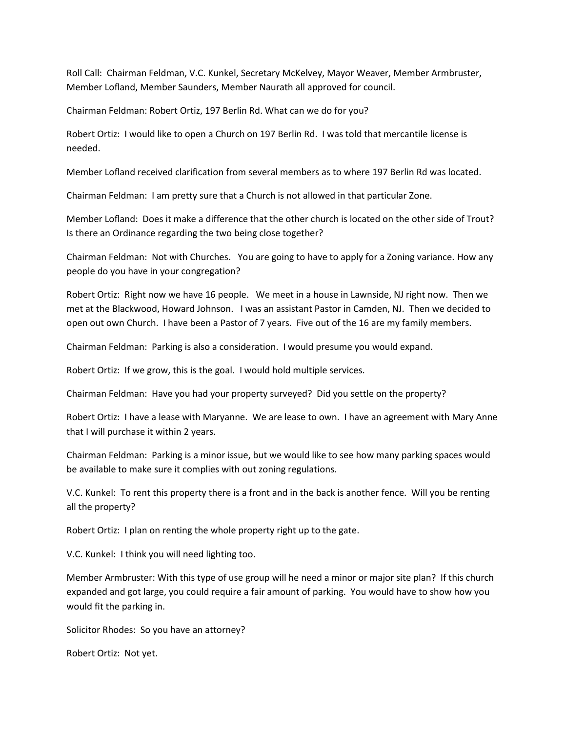Roll Call: Chairman Feldman, V.C. Kunkel, Secretary McKelvey, Mayor Weaver, Member Armbruster, Member Lofland, Member Saunders, Member Naurath all approved for council.

Chairman Feldman: Robert Ortiz, 197 Berlin Rd. What can we do for you?

Robert Ortiz: I would like to open a Church on 197 Berlin Rd. I was told that mercantile license is needed.

Member Lofland received clarification from several members as to where 197 Berlin Rd was located.

Chairman Feldman: I am pretty sure that a Church is not allowed in that particular Zone.

Member Lofland: Does it make a difference that the other church is located on the other side of Trout? Is there an Ordinance regarding the two being close together?

Chairman Feldman: Not with Churches. You are going to have to apply for a Zoning variance. How any people do you have in your congregation?

Robert Ortiz: Right now we have 16 people. We meet in a house in Lawnside, NJ right now. Then we met at the Blackwood, Howard Johnson. I was an assistant Pastor in Camden, NJ. Then we decided to open out own Church. I have been a Pastor of 7 years. Five out of the 16 are my family members.

Chairman Feldman: Parking is also a consideration. I would presume you would expand.

Robert Ortiz: If we grow, this is the goal. I would hold multiple services.

Chairman Feldman: Have you had your property surveyed? Did you settle on the property?

Robert Ortiz: I have a lease with Maryanne. We are lease to own. I have an agreement with Mary Anne that I will purchase it within 2 years.

Chairman Feldman: Parking is a minor issue, but we would like to see how many parking spaces would be available to make sure it complies with out zoning regulations.

V.C. Kunkel: To rent this property there is a front and in the back is another fence. Will you be renting all the property?

Robert Ortiz: I plan on renting the whole property right up to the gate.

V.C. Kunkel: I think you will need lighting too.

Member Armbruster: With this type of use group will he need a minor or major site plan? If this church expanded and got large, you could require a fair amount of parking. You would have to show how you would fit the parking in.

Solicitor Rhodes: So you have an attorney?

Robert Ortiz: Not yet.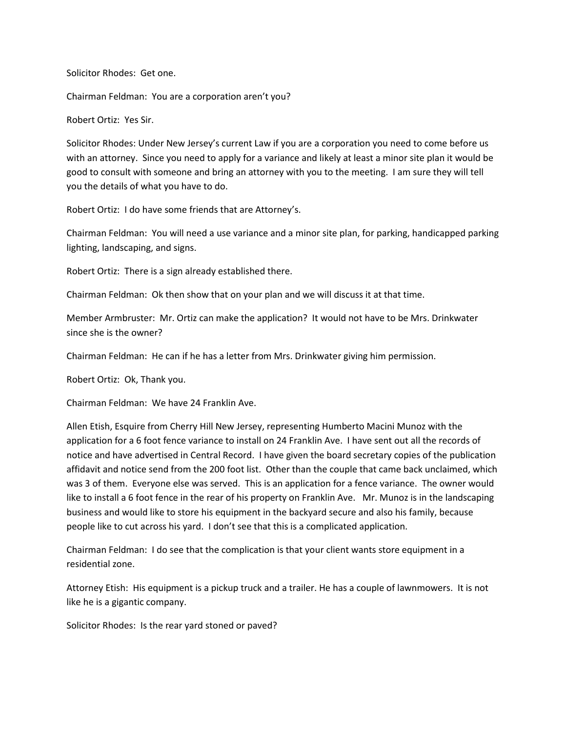Solicitor Rhodes: Get one.

Chairman Feldman: You are a corporation aren't you?

Robert Ortiz: Yes Sir.

Solicitor Rhodes: Under New Jersey's current Law if you are a corporation you need to come before us with an attorney. Since you need to apply for a variance and likely at least a minor site plan it would be good to consult with someone and bring an attorney with you to the meeting. I am sure they will tell you the details of what you have to do.

Robert Ortiz: I do have some friends that are Attorney's.

Chairman Feldman: You will need a use variance and a minor site plan, for parking, handicapped parking lighting, landscaping, and signs.

Robert Ortiz: There is a sign already established there.

Chairman Feldman: Ok then show that on your plan and we will discuss it at that time.

Member Armbruster: Mr. Ortiz can make the application? It would not have to be Mrs. Drinkwater since she is the owner?

Chairman Feldman: He can if he has a letter from Mrs. Drinkwater giving him permission.

Robert Ortiz: Ok, Thank you.

Chairman Feldman: We have 24 Franklin Ave.

Allen Etish, Esquire from Cherry Hill New Jersey, representing Humberto Macini Munoz with the application for a 6 foot fence variance to install on 24 Franklin Ave. I have sent out all the records of notice and have advertised in Central Record. I have given the board secretary copies of the publication affidavit and notice send from the 200 foot list. Other than the couple that came back unclaimed, which was 3 of them. Everyone else was served. This is an application for a fence variance. The owner would like to install a 6 foot fence in the rear of his property on Franklin Ave. Mr. Munoz is in the landscaping business and would like to store his equipment in the backyard secure and also his family, because people like to cut across his yard. I don't see that this is a complicated application.

Chairman Feldman: I do see that the complication is that your client wants store equipment in a residential zone.

Attorney Etish: His equipment is a pickup truck and a trailer. He has a couple of lawnmowers. It is not like he is a gigantic company.

Solicitor Rhodes: Is the rear yard stoned or paved?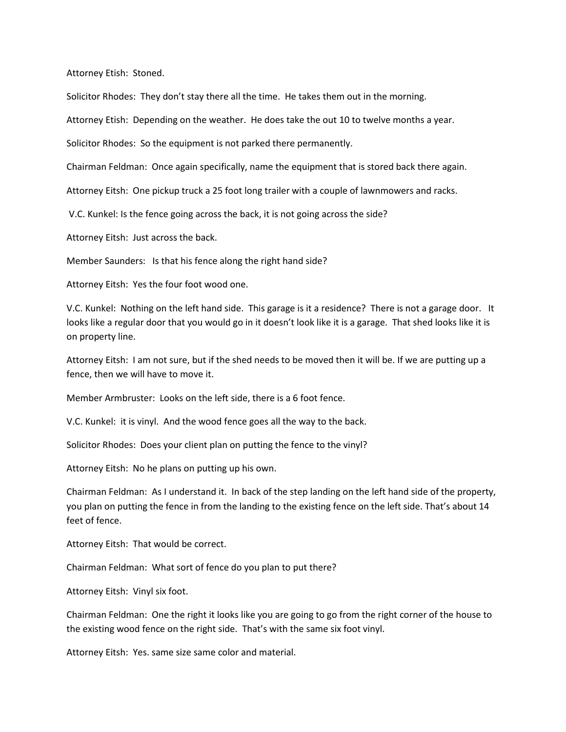Attorney Etish: Stoned.

Solicitor Rhodes: They don't stay there all the time. He takes them out in the morning.

Attorney Etish: Depending on the weather. He does take the out 10 to twelve months a year.

Solicitor Rhodes: So the equipment is not parked there permanently.

Chairman Feldman: Once again specifically, name the equipment that is stored back there again.

Attorney Eitsh: One pickup truck a 25 foot long trailer with a couple of lawnmowers and racks.

V.C. Kunkel: Is the fence going across the back, it is not going across the side?

Attorney Eitsh: Just across the back.

Member Saunders: Is that his fence along the right hand side?

Attorney Eitsh: Yes the four foot wood one.

V.C. Kunkel: Nothing on the left hand side. This garage is it a residence? There is not a garage door. It looks like a regular door that you would go in it doesn't look like it is a garage. That shed looks like it is on property line.

Attorney Eitsh: I am not sure, but if the shed needs to be moved then it will be. If we are putting up a fence, then we will have to move it.

Member Armbruster: Looks on the left side, there is a 6 foot fence.

V.C. Kunkel: it is vinyl. And the wood fence goes all the way to the back.

Solicitor Rhodes: Does your client plan on putting the fence to the vinyl?

Attorney Eitsh: No he plans on putting up his own.

Chairman Feldman: As I understand it. In back of the step landing on the left hand side of the property, you plan on putting the fence in from the landing to the existing fence on the left side. That's about 14 feet of fence.

Attorney Eitsh: That would be correct.

Chairman Feldman: What sort of fence do you plan to put there?

Attorney Eitsh: Vinyl six foot.

Chairman Feldman: One the right it looks like you are going to go from the right corner of the house to the existing wood fence on the right side. That's with the same six foot vinyl.

Attorney Eitsh: Yes. same size same color and material.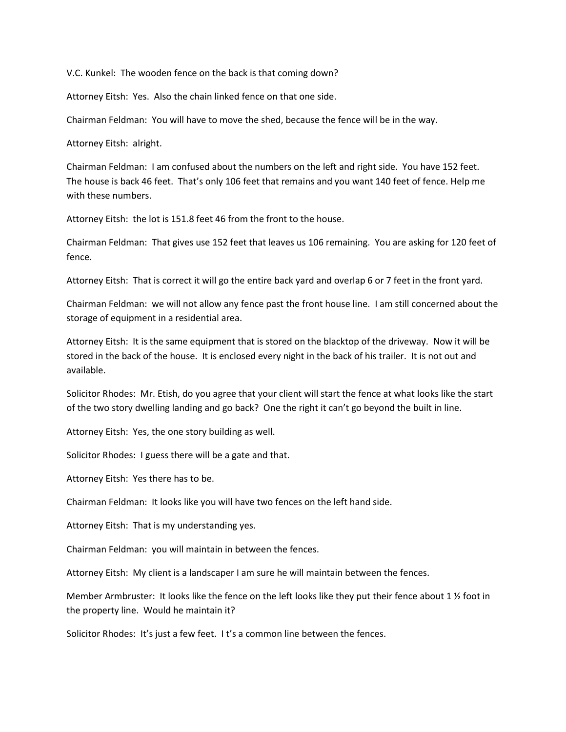V.C. Kunkel: The wooden fence on the back is that coming down?

Attorney Eitsh: Yes. Also the chain linked fence on that one side.

Chairman Feldman: You will have to move the shed, because the fence will be in the way.

Attorney Eitsh: alright.

Chairman Feldman: I am confused about the numbers on the left and right side. You have 152 feet. The house is back 46 feet. That's only 106 feet that remains and you want 140 feet of fence. Help me with these numbers.

Attorney Eitsh: the lot is 151.8 feet 46 from the front to the house.

Chairman Feldman: That gives use 152 feet that leaves us 106 remaining. You are asking for 120 feet of fence.

Attorney Eitsh: That is correct it will go the entire back yard and overlap 6 or 7 feet in the front yard.

Chairman Feldman: we will not allow any fence past the front house line. I am still concerned about the storage of equipment in a residential area.

Attorney Eitsh: It is the same equipment that is stored on the blacktop of the driveway. Now it will be stored in the back of the house. It is enclosed every night in the back of his trailer. It is not out and available.

Solicitor Rhodes: Mr. Etish, do you agree that your client will start the fence at what looks like the start of the two story dwelling landing and go back? One the right it can't go beyond the built in line.

Attorney Eitsh: Yes, the one story building as well.

Solicitor Rhodes: I guess there will be a gate and that.

Attorney Eitsh: Yes there has to be.

Chairman Feldman: It looks like you will have two fences on the left hand side.

Attorney Eitsh: That is my understanding yes.

Chairman Feldman: you will maintain in between the fences.

Attorney Eitsh: My client is a landscaper I am sure he will maintain between the fences.

Member Armbruster: It looks like the fence on the left looks like they put their fence about 1 1/2 foot in the property line. Would he maintain it?

Solicitor Rhodes: It's just a few feet. I t's a common line between the fences.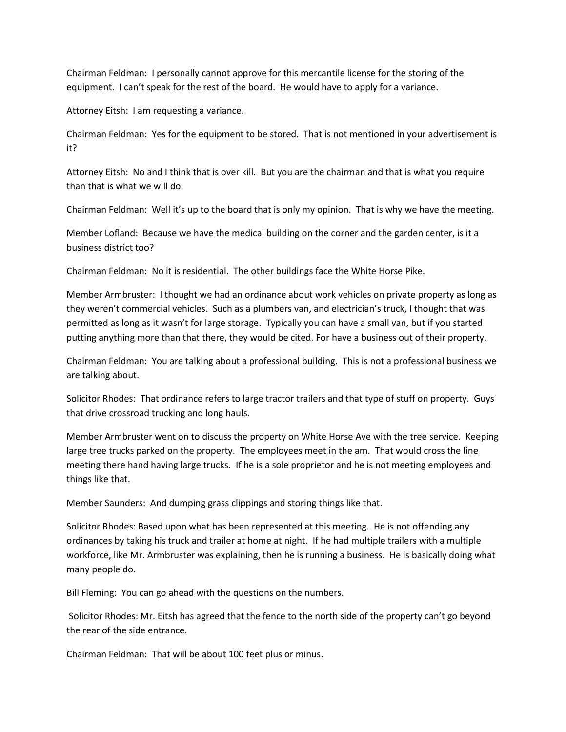Chairman Feldman: I personally cannot approve for this mercantile license for the storing of the equipment. I can't speak for the rest of the board. He would have to apply for a variance.

Attorney Eitsh: I am requesting a variance.

Chairman Feldman: Yes for the equipment to be stored. That is not mentioned in your advertisement is it?

Attorney Eitsh: No and I think that is over kill. But you are the chairman and that is what you require than that is what we will do.

Chairman Feldman: Well it's up to the board that is only my opinion. That is why we have the meeting.

Member Lofland: Because we have the medical building on the corner and the garden center, is it a business district too?

Chairman Feldman: No it is residential. The other buildings face the White Horse Pike.

Member Armbruster: I thought we had an ordinance about work vehicles on private property as long as they weren't commercial vehicles. Such as a plumbers van, and electrician's truck, I thought that was permitted as long as it wasn't for large storage. Typically you can have a small van, but if you started putting anything more than that there, they would be cited. For have a business out of their property.

Chairman Feldman: You are talking about a professional building. This is not a professional business we are talking about.

Solicitor Rhodes: That ordinance refers to large tractor trailers and that type of stuff on property. Guys that drive crossroad trucking and long hauls.

Member Armbruster went on to discuss the property on White Horse Ave with the tree service. Keeping large tree trucks parked on the property. The employees meet in the am. That would cross the line meeting there hand having large trucks. If he is a sole proprietor and he is not meeting employees and things like that.

Member Saunders: And dumping grass clippings and storing things like that.

Solicitor Rhodes: Based upon what has been represented at this meeting. He is not offending any ordinances by taking his truck and trailer at home at night. If he had multiple trailers with a multiple workforce, like Mr. Armbruster was explaining, then he is running a business. He is basically doing what many people do.

Bill Fleming: You can go ahead with the questions on the numbers.

Solicitor Rhodes: Mr. Eitsh has agreed that the fence to the north side of the property can't go beyond the rear of the side entrance.

Chairman Feldman: That will be about 100 feet plus or minus.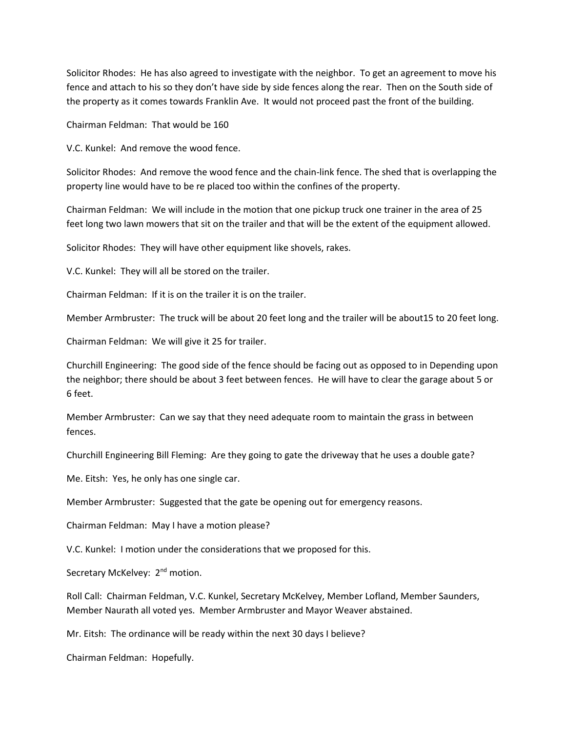Solicitor Rhodes: He has also agreed to investigate with the neighbor. To get an agreement to move his fence and attach to his so they don't have side by side fences along the rear. Then on the South side of the property as it comes towards Franklin Ave. It would not proceed past the front of the building.

Chairman Feldman: That would be 160

V.C. Kunkel: And remove the wood fence.

Solicitor Rhodes: And remove the wood fence and the chain-link fence. The shed that is overlapping the property line would have to be re placed too within the confines of the property.

Chairman Feldman: We will include in the motion that one pickup truck one trainer in the area of 25 feet long two lawn mowers that sit on the trailer and that will be the extent of the equipment allowed.

Solicitor Rhodes: They will have other equipment like shovels, rakes.

V.C. Kunkel: They will all be stored on the trailer.

Chairman Feldman: If it is on the trailer it is on the trailer.

Member Armbruster: The truck will be about 20 feet long and the trailer will be about15 to 20 feet long.

Chairman Feldman: We will give it 25 for trailer.

Churchill Engineering: The good side of the fence should be facing out as opposed to in Depending upon the neighbor; there should be about 3 feet between fences. He will have to clear the garage about 5 or 6 feet.

Member Armbruster: Can we say that they need adequate room to maintain the grass in between fences.

Churchill Engineering Bill Fleming: Are they going to gate the driveway that he uses a double gate?

Me. Eitsh: Yes, he only has one single car.

Member Armbruster: Suggested that the gate be opening out for emergency reasons.

Chairman Feldman: May I have a motion please?

V.C. Kunkel: I motion under the considerations that we proposed for this.

Secretary McKelvey: 2<sup>nd</sup> motion.

Roll Call: Chairman Feldman, V.C. Kunkel, Secretary McKelvey, Member Lofland, Member Saunders, Member Naurath all voted yes. Member Armbruster and Mayor Weaver abstained.

Mr. Eitsh: The ordinance will be ready within the next 30 days I believe?

Chairman Feldman: Hopefully.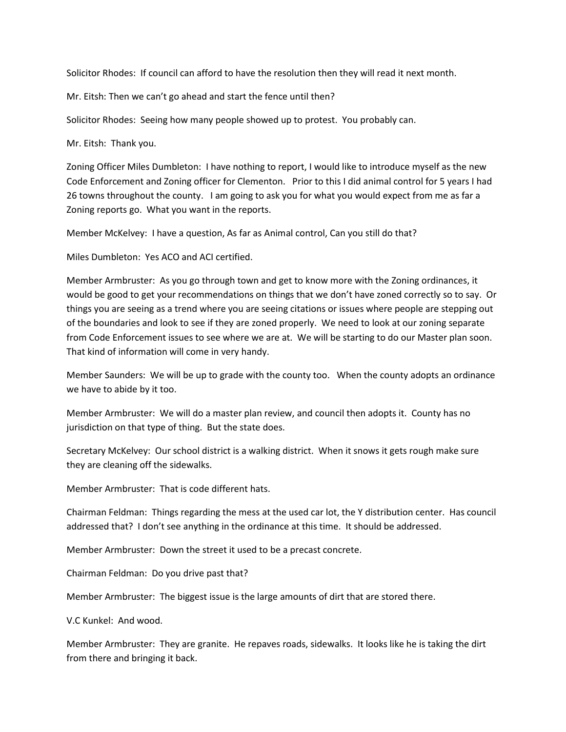Solicitor Rhodes: If council can afford to have the resolution then they will read it next month.

Mr. Eitsh: Then we can't go ahead and start the fence until then?

Solicitor Rhodes: Seeing how many people showed up to protest. You probably can.

Mr. Eitsh: Thank you.

Zoning Officer Miles Dumbleton: I have nothing to report, I would like to introduce myself as the new Code Enforcement and Zoning officer for Clementon. Prior to this I did animal control for 5 years I had 26 towns throughout the county. I am going to ask you for what you would expect from me as far a Zoning reports go. What you want in the reports.

Member McKelvey: I have a question, As far as Animal control, Can you still do that?

Miles Dumbleton: Yes ACO and ACI certified.

Member Armbruster: As you go through town and get to know more with the Zoning ordinances, it would be good to get your recommendations on things that we don't have zoned correctly so to say. Or things you are seeing as a trend where you are seeing citations or issues where people are stepping out of the boundaries and look to see if they are zoned properly. We need to look at our zoning separate from Code Enforcement issues to see where we are at. We will be starting to do our Master plan soon. That kind of information will come in very handy.

Member Saunders: We will be up to grade with the county too. When the county adopts an ordinance we have to abide by it too.

Member Armbruster: We will do a master plan review, and council then adopts it. County has no jurisdiction on that type of thing. But the state does.

Secretary McKelvey: Our school district is a walking district. When it snows it gets rough make sure they are cleaning off the sidewalks.

Member Armbruster: That is code different hats.

Chairman Feldman: Things regarding the mess at the used car lot, the Y distribution center. Has council addressed that? I don't see anything in the ordinance at this time. It should be addressed.

Member Armbruster: Down the street it used to be a precast concrete.

Chairman Feldman: Do you drive past that?

Member Armbruster: The biggest issue is the large amounts of dirt that are stored there.

V.C Kunkel: And wood.

Member Armbruster: They are granite. He repaves roads, sidewalks. It looks like he is taking the dirt from there and bringing it back.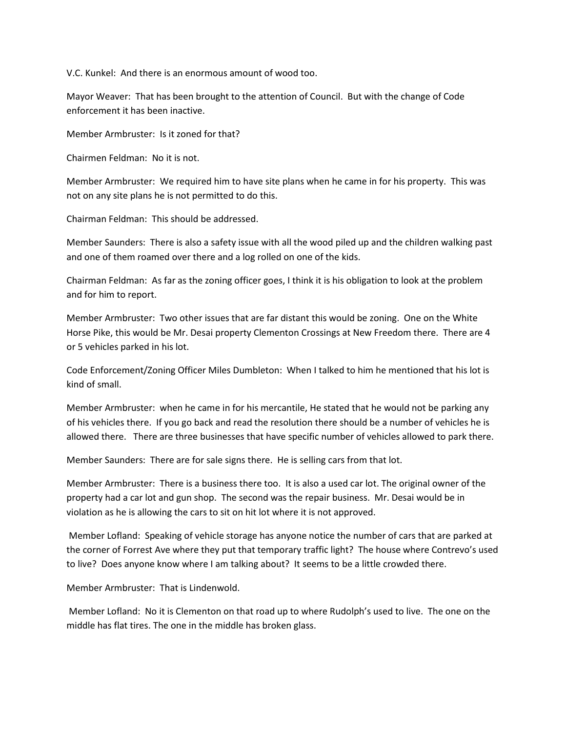V.C. Kunkel: And there is an enormous amount of wood too.

Mayor Weaver: That has been brought to the attention of Council. But with the change of Code enforcement it has been inactive.

Member Armbruster: Is it zoned for that?

Chairmen Feldman: No it is not.

Member Armbruster: We required him to have site plans when he came in for his property. This was not on any site plans he is not permitted to do this.

Chairman Feldman: This should be addressed.

Member Saunders: There is also a safety issue with all the wood piled up and the children walking past and one of them roamed over there and a log rolled on one of the kids.

Chairman Feldman: As far as the zoning officer goes, I think it is his obligation to look at the problem and for him to report.

Member Armbruster: Two other issues that are far distant this would be zoning. One on the White Horse Pike, this would be Mr. Desai property Clementon Crossings at New Freedom there. There are 4 or 5 vehicles parked in his lot.

Code Enforcement/Zoning Officer Miles Dumbleton: When I talked to him he mentioned that his lot is kind of small.

Member Armbruster: when he came in for his mercantile, He stated that he would not be parking any of his vehicles there. If you go back and read the resolution there should be a number of vehicles he is allowed there. There are three businesses that have specific number of vehicles allowed to park there.

Member Saunders: There are for sale signs there. He is selling cars from that lot.

Member Armbruster: There is a business there too. It is also a used car lot. The original owner of the property had a car lot and gun shop. The second was the repair business. Mr. Desai would be in violation as he is allowing the cars to sit on hit lot where it is not approved.

Member Lofland: Speaking of vehicle storage has anyone notice the number of cars that are parked at the corner of Forrest Ave where they put that temporary traffic light? The house where Contrevo's used to live? Does anyone know where I am talking about? It seems to be a little crowded there.

Member Armbruster: That is Lindenwold.

Member Lofland: No it is Clementon on that road up to where Rudolph's used to live. The one on the middle has flat tires. The one in the middle has broken glass.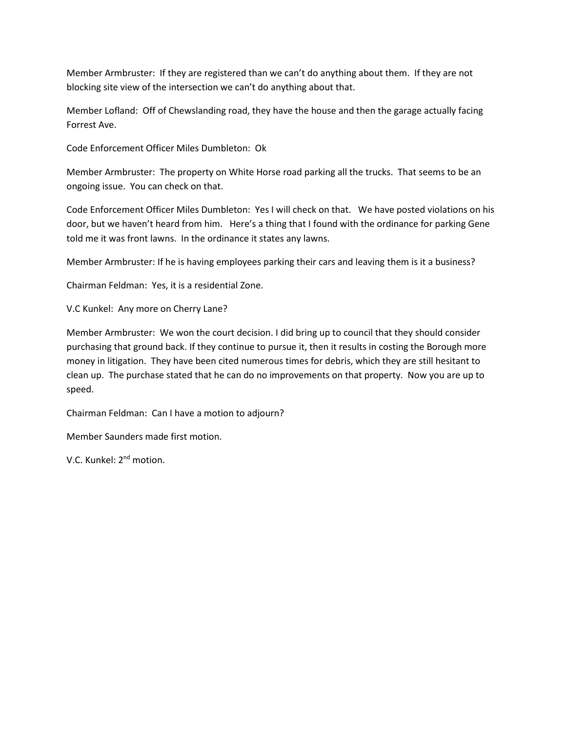Member Armbruster: If they are registered than we can't do anything about them. If they are not blocking site view of the intersection we can't do anything about that.

Member Lofland: Off of Chewslanding road, they have the house and then the garage actually facing Forrest Ave.

Code Enforcement Officer Miles Dumbleton: Ok

Member Armbruster: The property on White Horse road parking all the trucks. That seems to be an ongoing issue. You can check on that.

Code Enforcement Officer Miles Dumbleton: Yes I will check on that. We have posted violations on his door, but we haven't heard from him. Here's a thing that I found with the ordinance for parking Gene told me it was front lawns. In the ordinance it states any lawns.

Member Armbruster: If he is having employees parking their cars and leaving them is it a business?

Chairman Feldman: Yes, it is a residential Zone.

V.C Kunkel: Any more on Cherry Lane?

Member Armbruster: We won the court decision. I did bring up to council that they should consider purchasing that ground back. If they continue to pursue it, then it results in costing the Borough more money in litigation. They have been cited numerous times for debris, which they are still hesitant to clean up. The purchase stated that he can do no improvements on that property. Now you are up to speed.

Chairman Feldman: Can I have a motion to adjourn?

Member Saunders made first motion.

V.C. Kunkel: 2nd motion.